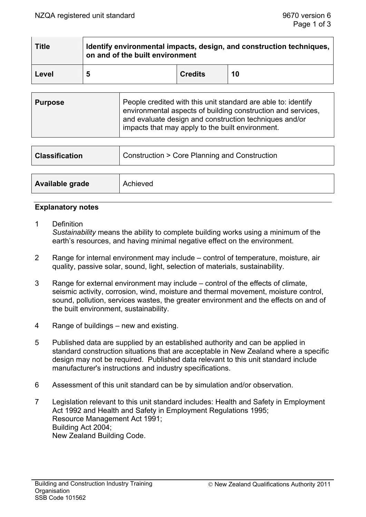| <b>Title</b> | Identify environmental impacts, design, and construction techniques,<br>on and of the built environment |                |    |
|--------------|---------------------------------------------------------------------------------------------------------|----------------|----|
| Level        | 5                                                                                                       | <b>Credits</b> | 10 |

| <b>Purpose</b> | People credited with this unit standard are able to: identify                                                                                                              |
|----------------|----------------------------------------------------------------------------------------------------------------------------------------------------------------------------|
|                | environmental aspects of building construction and services,<br>and evaluate design and construction techniques and/or<br>impacts that may apply to the built environment. |

| <b>Classification</b> | Construction > Core Planning and Construction |  |
|-----------------------|-----------------------------------------------|--|
|                       |                                               |  |
| Available grade       | Achieved                                      |  |

## **Explanatory notes**

- 1 Definition *Sustainability* means the ability to complete building works using a minimum of the earth's resources, and having minimal negative effect on the environment.
- 2 Range for internal environment may include control of temperature, moisture, air quality, passive solar, sound, light, selection of materials, sustainability.
- 3 Range for external environment may include control of the effects of climate, seismic activity, corrosion, wind, moisture and thermal movement, moisture control, sound, pollution, services wastes, the greater environment and the effects on and of the built environment, sustainability.
- 4 Range of buildings new and existing.
- 5 Published data are supplied by an established authority and can be applied in standard construction situations that are acceptable in New Zealand where a specific design may not be required. Published data relevant to this unit standard include manufacturer's instructions and industry specifications.
- 6 Assessment of this unit standard can be by simulation and/or observation.
- 7 Legislation relevant to this unit standard includes: Health and Safety in Employment Act 1992 and Health and Safety in Employment Regulations 1995; Resource Management Act 1991; Building Act 2004; New Zealand Building Code.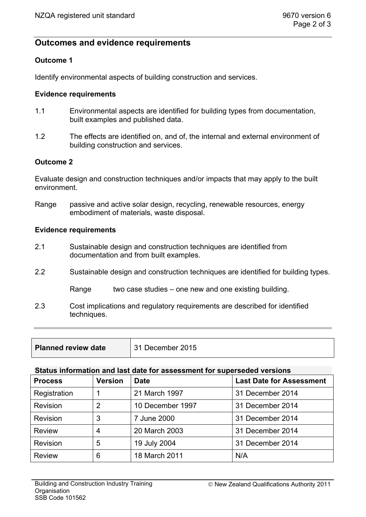# **Outcomes and evidence requirements**

## **Outcome 1**

Identify environmental aspects of building construction and services.

#### **Evidence requirements**

- 1.1 Environmental aspects are identified for building types from documentation, built examples and published data.
- 1.2 The effects are identified on, and of, the internal and external environment of building construction and services.

## **Outcome 2**

Evaluate design and construction techniques and/or impacts that may apply to the built environment.

Range passive and active solar design, recycling, renewable resources, energy embodiment of materials, waste disposal.

#### **Evidence requirements**

- 2.1 Sustainable design and construction techniques are identified from documentation and from built examples.
- 2.2 Sustainable design and construction techniques are identified for building types.

Range two case studies – one new and one existing building.

2.3 Cost implications and regulatory requirements are described for identified techniques.

| Planned review date | 31 December 2015 |
|---------------------|------------------|
|                     |                  |

## **Status information and last date for assessment for superseded versions**

| <b>Process</b> | <b>Version</b> | <b>Date</b>      | <b>Last Date for Assessment</b> |
|----------------|----------------|------------------|---------------------------------|
| Registration   |                | 21 March 1997    | 31 December 2014                |
| Revision       | $\overline{2}$ | 10 December 1997 | 31 December 2014                |
| Revision       | 3              | 7 June 2000      | 31 December 2014                |
| <b>Review</b>  | 4              | 20 March 2003    | 31 December 2014                |
| Revision       | 5              | 19 July 2004     | 31 December 2014                |
| <b>Review</b>  | 6              | 18 March 2011    | N/A                             |